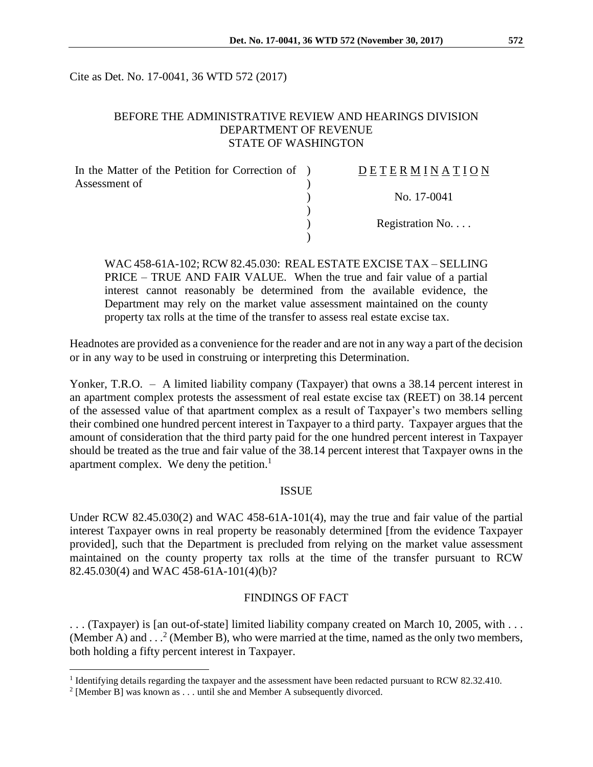Cite as Det. No. 17-0041, 36 WTD 572 (2017)

### BEFORE THE ADMINISTRATIVE REVIEW AND HEARINGS DIVISION DEPARTMENT OF REVENUE STATE OF WASHINGTON

| In the Matter of the Petition for Correction of ) | DETERMINATION   |
|---------------------------------------------------|-----------------|
| Assessment of                                     |                 |
|                                                   | No. 17-0041     |
|                                                   |                 |
|                                                   | Registration No |
|                                                   |                 |

WAC 458-61A-102; RCW 82.45.030: REAL ESTATE EXCISE TAX – SELLING PRICE – TRUE AND FAIR VALUE. When the true and fair value of a partial interest cannot reasonably be determined from the available evidence, the Department may rely on the market value assessment maintained on the county property tax rolls at the time of the transfer to assess real estate excise tax.

Headnotes are provided as a convenience for the reader and are not in any way a part of the decision or in any way to be used in construing or interpreting this Determination.

Yonker, T.R.O. – A limited liability company (Taxpayer) that owns a 38.14 percent interest in an apartment complex protests the assessment of real estate excise tax (REET) on 38.14 percent of the assessed value of that apartment complex as a result of Taxpayer's two members selling their combined one hundred percent interest in Taxpayer to a third party. Taxpayer argues that the amount of consideration that the third party paid for the one hundred percent interest in Taxpayer should be treated as the true and fair value of the 38.14 percent interest that Taxpayer owns in the apartment complex. We deny the petition.<sup>1</sup>

#### ISSUE

Under RCW 82.45.030(2) and WAC 458-61A-101(4), may the true and fair value of the partial interest Taxpayer owns in real property be reasonably determined [from the evidence Taxpayer provided], such that the Department is precluded from relying on the market value assessment maintained on the county property tax rolls at the time of the transfer pursuant to RCW 82.45.030(4) and WAC 458-61A-101(4)(b)?

### FINDINGS OF FACT

. . . (Taxpayer) is [an out-of-state] limited liability company created on March 10, 2005, with . . . (Member A) and  $\dots$ <sup>2</sup> (Member B), who were married at the time, named as the only two members, both holding a fifty percent interest in Taxpayer.

<sup>&</sup>lt;sup>1</sup> Identifying details regarding the taxpayer and the assessment have been redacted pursuant to RCW 82.32.410.

<sup>&</sup>lt;sup>2</sup> [Member B] was known as . . . until she and Member A subsequently divorced.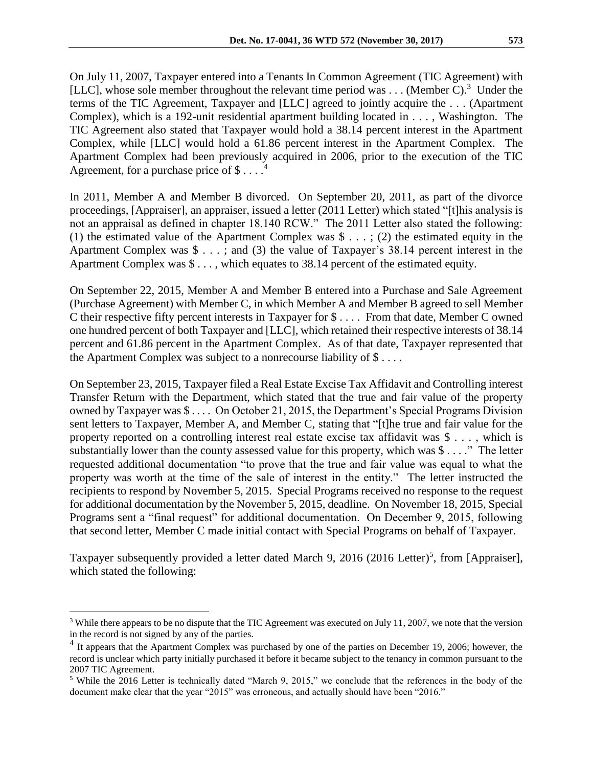On July 11, 2007, Taxpayer entered into a Tenants In Common Agreement (TIC Agreement) with [LLC], whose sole member throughout the relevant time period was  $\dots$  (Member C).<sup>3</sup> Under the terms of the TIC Agreement, Taxpayer and [LLC] agreed to jointly acquire the . . . (Apartment Complex), which is a 192-unit residential apartment building located in . . . , Washington. The TIC Agreement also stated that Taxpayer would hold a 38.14 percent interest in the Apartment Complex, while [LLC] would hold a 61.86 percent interest in the Apartment Complex. The Apartment Complex had been previously acquired in 2006, prior to the execution of the TIC Agreement, for a purchase price of  $\$\dots$ <sup>4</sup>

In 2011, Member A and Member B divorced. On September 20, 2011, as part of the divorce proceedings, [Appraiser], an appraiser, issued a letter (2011 Letter) which stated "[t]his analysis is not an appraisal as defined in chapter 18.140 RCW." The 2011 Letter also stated the following: (1) the estimated value of the Apartment Complex was  $\hat{\mathcal{S}}$ ...; (2) the estimated equity in the Apartment Complex was \$ . . . ; and (3) the value of Taxpayer's 38.14 percent interest in the Apartment Complex was \$ . . . , which equates to 38.14 percent of the estimated equity.

On September 22, 2015, Member A and Member B entered into a Purchase and Sale Agreement (Purchase Agreement) with Member C, in which Member A and Member B agreed to sell Member C their respective fifty percent interests in Taxpayer for \$ . . . . From that date, Member C owned one hundred percent of both Taxpayer and [LLC], which retained their respective interests of 38.14 percent and 61.86 percent in the Apartment Complex. As of that date, Taxpayer represented that the Apartment Complex was subject to a nonrecourse liability of  $\$\dots$ .

On September 23, 2015, Taxpayer filed a Real Estate Excise Tax Affidavit and Controlling interest Transfer Return with the Department, which stated that the true and fair value of the property owned by Taxpayer was \$ . . . . On October 21, 2015, the Department's Special Programs Division sent letters to Taxpayer, Member A, and Member C, stating that "[t]he true and fair value for the property reported on a controlling interest real estate excise tax affidavit was \$ . . . , which is substantially lower than the county assessed value for this property, which was \$ . . . ." The letter requested additional documentation "to prove that the true and fair value was equal to what the property was worth at the time of the sale of interest in the entity." The letter instructed the recipients to respond by November 5, 2015. Special Programs received no response to the request for additional documentation by the November 5, 2015, deadline. On November 18, 2015, Special Programs sent a "final request" for additional documentation. On December 9, 2015, following that second letter, Member C made initial contact with Special Programs on behalf of Taxpayer.

Taxpayer subsequently provided a letter dated March 9, 2016 (2016 Letter)<sup>5</sup>, from [Appraiser], which stated the following:

<sup>&</sup>lt;sup>3</sup> While there appears to be no dispute that the TIC Agreement was executed on July 11, 2007, we note that the version in the record is not signed by any of the parties.

<sup>&</sup>lt;sup>4</sup> It appears that the Apartment Complex was purchased by one of the parties on December 19, 2006; however, the record is unclear which party initially purchased it before it became subject to the tenancy in common pursuant to the 2007 TIC Agreement.

<sup>5</sup> While the 2016 Letter is technically dated "March 9, 2015," we conclude that the references in the body of the document make clear that the year "2015" was erroneous, and actually should have been "2016."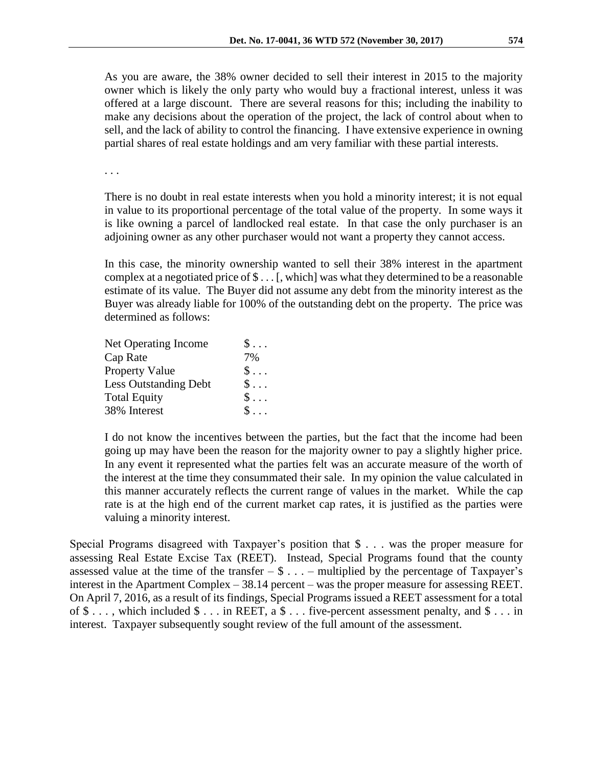As you are aware, the 38% owner decided to sell their interest in 2015 to the majority owner which is likely the only party who would buy a fractional interest, unless it was offered at a large discount. There are several reasons for this; including the inability to make any decisions about the operation of the project, the lack of control about when to sell, and the lack of ability to control the financing. I have extensive experience in owning partial shares of real estate holdings and am very familiar with these partial interests.

. . .

There is no doubt in real estate interests when you hold a minority interest; it is not equal in value to its proportional percentage of the total value of the property. In some ways it is like owning a parcel of landlocked real estate. In that case the only purchaser is an adjoining owner as any other purchaser would not want a property they cannot access.

In this case, the minority ownership wanted to sell their 38% interest in the apartment complex at a negotiated price of \$ . . . [, which] was what they determined to be a reasonable estimate of its value. The Buyer did not assume any debt from the minority interest as the Buyer was already liable for 100% of the outstanding debt on the property. The price was determined as follows:

| $\mathsf{\$}\dots$ |
|--------------------|
| 7%                 |
| $\mathsf{\$}\dots$ |
| $\$\ldots$         |
| $\$\ldots$         |
| $S \ldots$         |
|                    |

I do not know the incentives between the parties, but the fact that the income had been going up may have been the reason for the majority owner to pay a slightly higher price. In any event it represented what the parties felt was an accurate measure of the worth of the interest at the time they consummated their sale. In my opinion the value calculated in this manner accurately reflects the current range of values in the market. While the cap rate is at the high end of the current market cap rates, it is justified as the parties were valuing a minority interest.

Special Programs disagreed with Taxpayer's position that \$ . . . was the proper measure for assessing Real Estate Excise Tax (REET). Instead, Special Programs found that the county assessed value at the time of the transfer  $-\$ \$  $\dots$  – multiplied by the percentage of Taxpayer's interest in the Apartment Complex – 38.14 percent – was the proper measure for assessing REET. On April 7, 2016, as a result of its findings, Special Programs issued a REET assessment for a total of  $\$\ldots$ , which included  $\$\ldots$  in REET, a  $\$\ldots$  five-percent assessment penalty, and  $\$\ldots$  in interest. Taxpayer subsequently sought review of the full amount of the assessment.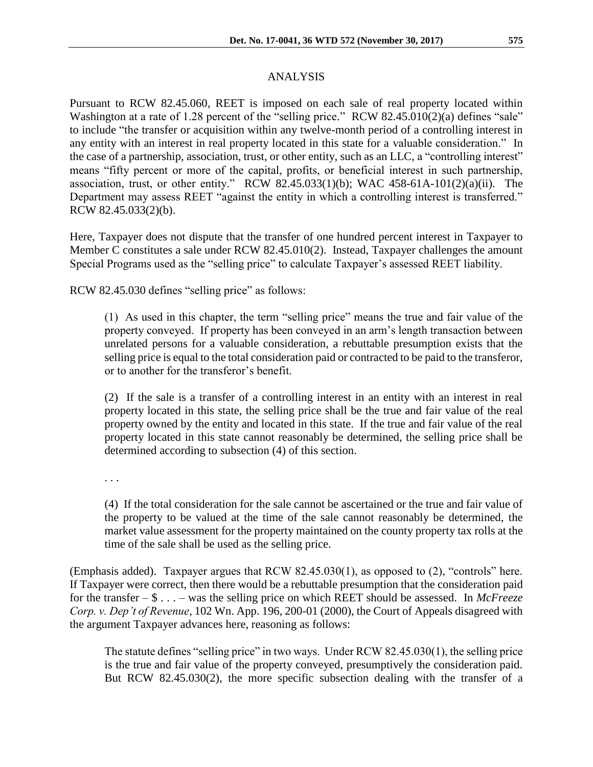# ANALYSIS

Pursuant to RCW 82.45.060, REET is imposed on each sale of real property located within Washington at a rate of 1.28 percent of the "selling price." RCW 82.45.010(2)(a) defines "sale" to include "the transfer or acquisition within any twelve-month period of a controlling interest in any entity with an interest in real property located in this state for a valuable consideration." In the case of a partnership, association, trust, or other entity, such as an LLC, a "controlling interest" means "fifty percent or more of the capital, profits, or beneficial interest in such partnership, association, trust, or other entity." RCW 82.45.033(1)(b); WAC 458-61A-101(2)(a)(ii). The Department may assess REET "against the entity in which a controlling interest is transferred." RCW 82.45.033(2)(b).

Here, Taxpayer does not dispute that the transfer of one hundred percent interest in Taxpayer to Member C constitutes a sale under RCW 82.45.010(2). Instead, Taxpayer challenges the amount Special Programs used as the "selling price" to calculate Taxpayer's assessed REET liability.

RCW 82.45.030 defines "selling price" as follows:

(1) As used in this chapter, the term "selling price" means the true and fair value of the property conveyed. If property has been conveyed in an arm's length transaction between unrelated persons for a valuable consideration, a rebuttable presumption exists that the selling price is equal to the total consideration paid or contracted to be paid to the transferor, or to another for the transferor's benefit.

(2) If the sale is a transfer of a controlling interest in an entity with an interest in real property located in this state, the selling price shall be the true and fair value of the real property owned by the entity and located in this state. If the true and fair value of the real property located in this state cannot reasonably be determined, the selling price shall be determined according to subsection (4) of this section.

. . .

(4) If the total consideration for the sale cannot be ascertained or the true and fair value of the property to be valued at the time of the sale cannot reasonably be determined, the market value assessment for the property maintained on the county property tax rolls at the time of the sale shall be used as the selling price.

(Emphasis added). Taxpayer argues that RCW 82.45.030(1), as opposed to (2), "controls" here. If Taxpayer were correct, then there would be a rebuttable presumption that the consideration paid for the transfer – \$ . . . – was the selling price on which REET should be assessed. In *McFreeze Corp. v. Dep't of Revenue*, 102 Wn. App. 196, 200-01 (2000), the Court of Appeals disagreed with the argument Taxpayer advances here, reasoning as follows:

The statute defines "selling price" in two ways. Under RCW 82.45.030(1), the selling price is the true and fair value of the property conveyed, presumptively the consideration paid. But RCW 82.45.030(2), the more specific subsection dealing with the transfer of a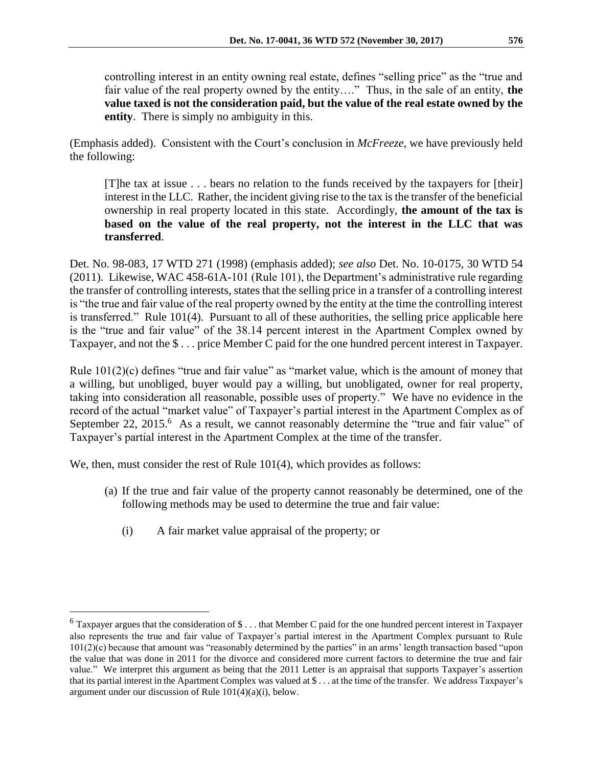controlling interest in an entity owning real estate, defines "selling price" as the "true and fair value of the real property owned by the entity…." Thus, in the sale of an entity, **the value taxed is not the consideration paid, but the value of the real estate owned by the entity**. There is simply no ambiguity in this.

(Emphasis added). Consistent with the Court's conclusion in *McFreeze*, we have previously held the following:

[T]he tax at issue . . . bears no relation to the funds received by the taxpayers for [their] interest in the LLC. Rather, the incident giving rise to the tax is the transfer of the beneficial ownership in real property located in this state. Accordingly, **the amount of the tax is based on the value of the real property, not the interest in the LLC that was transferred**.

Det. No. 98-083, 17 WTD 271 (1998) (emphasis added); *see also* Det. No. 10-0175, 30 WTD 54 (2011). Likewise, WAC 458-61A-101 (Rule 101), the Department's administrative rule regarding the transfer of controlling interests, states that the selling price in a transfer of a controlling interest is "the true and fair value of the real property owned by the entity at the time the controlling interest is transferred." Rule 101(4). Pursuant to all of these authorities, the selling price applicable here is the "true and fair value" of the 38.14 percent interest in the Apartment Complex owned by Taxpayer, and not the \$ . . . price Member C paid for the one hundred percent interest in Taxpayer.

Rule  $101(2)(c)$  defines "true and fair value" as "market value, which is the amount of money that a willing, but unobliged, buyer would pay a willing, but unobligated, owner for real property, taking into consideration all reasonable, possible uses of property." We have no evidence in the record of the actual "market value" of Taxpayer's partial interest in the Apartment Complex as of September 22, 2015.<sup>6</sup> As a result, we cannot reasonably determine the "true and fair value" of Taxpayer's partial interest in the Apartment Complex at the time of the transfer.

We, then, must consider the rest of Rule 101(4), which provides as follows:

- (a) If the true and fair value of the property cannot reasonably be determined, one of the following methods may be used to determine the true and fair value:
	- (i) A fair market value appraisal of the property; or

 $6$  Taxpayer argues that the consideration of \$... that Member C paid for the one hundred percent interest in Taxpayer also represents the true and fair value of Taxpayer's partial interest in the Apartment Complex pursuant to Rule 101(2)(c) because that amount was "reasonably determined by the parties" in an arms' length transaction based "upon the value that was done in 2011 for the divorce and considered more current factors to determine the true and fair value." We interpret this argument as being that the 2011 Letter is an appraisal that supports Taxpayer's assertion that its partial interest in the Apartment Complex was valued at \$ . . . at the time of the transfer. We address Taxpayer's argument under our discussion of Rule 101(4)(a)(i), below.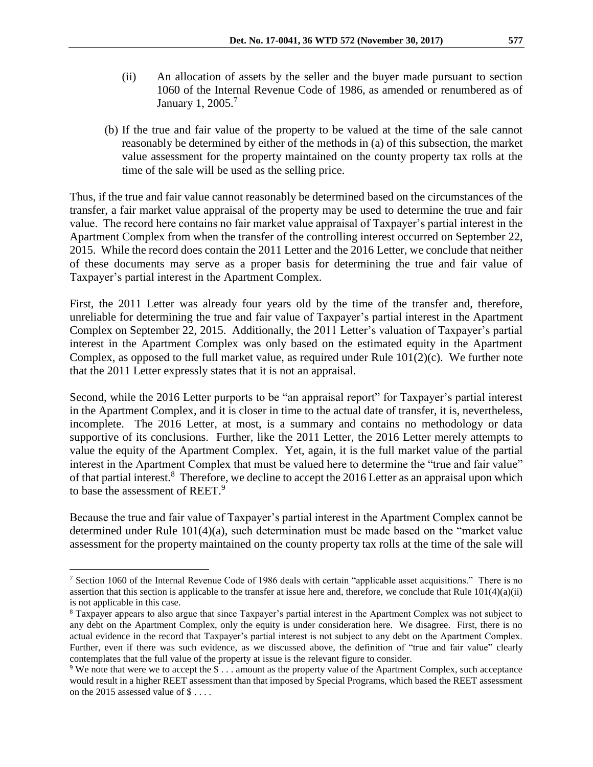- (ii) An allocation of assets by the seller and the buyer made pursuant to section 1060 of the Internal Revenue Code of 1986, as amended or renumbered as of January 1, 2005.<sup>7</sup>
- (b) If the true and fair value of the property to be valued at the time of the sale cannot reasonably be determined by either of the methods in (a) of this subsection, the market value assessment for the property maintained on the county property tax rolls at the time of the sale will be used as the selling price.

Thus, if the true and fair value cannot reasonably be determined based on the circumstances of the transfer, a fair market value appraisal of the property may be used to determine the true and fair value. The record here contains no fair market value appraisal of Taxpayer's partial interest in the Apartment Complex from when the transfer of the controlling interest occurred on September 22, 2015. While the record does contain the 2011 Letter and the 2016 Letter, we conclude that neither of these documents may serve as a proper basis for determining the true and fair value of Taxpayer's partial interest in the Apartment Complex.

First, the 2011 Letter was already four years old by the time of the transfer and, therefore, unreliable for determining the true and fair value of Taxpayer's partial interest in the Apartment Complex on September 22, 2015. Additionally, the 2011 Letter's valuation of Taxpayer's partial interest in the Apartment Complex was only based on the estimated equity in the Apartment Complex, as opposed to the full market value, as required under Rule 101(2)(c). We further note that the 2011 Letter expressly states that it is not an appraisal.

Second, while the 2016 Letter purports to be "an appraisal report" for Taxpayer's partial interest in the Apartment Complex, and it is closer in time to the actual date of transfer, it is, nevertheless, incomplete. The 2016 Letter, at most, is a summary and contains no methodology or data supportive of its conclusions. Further, like the 2011 Letter, the 2016 Letter merely attempts to value the equity of the Apartment Complex. Yet, again, it is the full market value of the partial interest in the Apartment Complex that must be valued here to determine the "true and fair value" of that partial interest.<sup>8</sup> Therefore, we decline to accept the 2016 Letter as an appraisal upon which to base the assessment of REET.<sup>9</sup>

Because the true and fair value of Taxpayer's partial interest in the Apartment Complex cannot be determined under Rule 101(4)(a), such determination must be made based on the "market value assessment for the property maintained on the county property tax rolls at the time of the sale will

<sup>7</sup> Section 1060 of the Internal Revenue Code of 1986 deals with certain "applicable asset acquisitions." There is no assertion that this section is applicable to the transfer at issue here and, therefore, we conclude that Rule  $101(4)(a)(ii)$ is not applicable in this case.

<sup>8</sup> Taxpayer appears to also argue that since Taxpayer's partial interest in the Apartment Complex was not subject to any debt on the Apartment Complex, only the equity is under consideration here. We disagree. First, there is no actual evidence in the record that Taxpayer's partial interest is not subject to any debt on the Apartment Complex. Further, even if there was such evidence, as we discussed above, the definition of "true and fair value" clearly contemplates that the full value of the property at issue is the relevant figure to consider.

<sup>9</sup> We note that were we to accept the \$ . . . amount as the property value of the Apartment Complex, such acceptance would result in a higher REET assessment than that imposed by Special Programs, which based the REET assessment on the 2015 assessed value of \$ . . . .